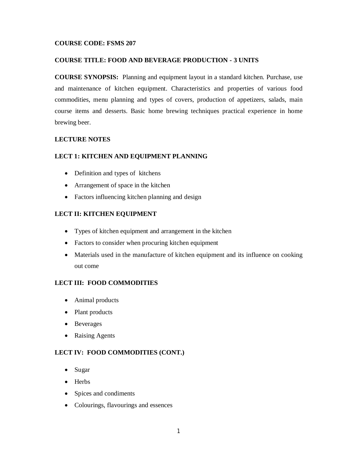## **COURSE CODE: FSMS 207**

### **COURSE TITLE: FOOD AND BEVERAGE PRODUCTION - 3 UNITS**

**COURSE SYNOPSIS:** Planning and equipment layout in a standard kitchen. Purchase, use and maintenance of kitchen equipment. Characteristics and properties of various food commodities, menu planning and types of covers, production of appetizers, salads, main course items and desserts. Basic home brewing techniques practical experience in home brewing beer.

# **LECTURE NOTES**

### **LECT 1: KITCHEN AND EQUIPMENT PLANNING**

- Definition and types of kitchens
- Arrangement of space in the kitchen
- Factors influencing kitchen planning and design

### **LECT II: KITCHEN EQUIPMENT**

- Types of kitchen equipment and arrangement in the kitchen
- Factors to consider when procuring kitchen equipment
- Materials used in the manufacture of kitchen equipment and its influence on cooking out come

# **LECT III: FOOD COMMODITIES**

- Animal products
- Plant products
- Beverages
- Raising Agents

# **LECT IV: FOOD COMMODITIES (CONT.)**

- Sugar
- Herbs
- Spices and condiments
- Colourings, flavourings and essences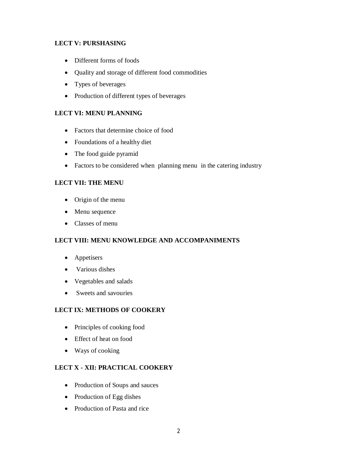# **LECT V: PURSHASING**

- Different forms of foods
- Quality and storage of different food commodities
- Types of beverages
- Production of different types of beverages

# **LECT VI: MENU PLANNING**

- Factors that determine choice of food
- Foundations of a healthy diet
- The food guide pyramid
- Factors to be considered when planning menu in the catering industry

### **LECT VII: THE MENU**

- Origin of the menu
- Menu sequence
- Classes of menu

# **LECT VIII: MENU KNOWLEDGE AND ACCOMPANIMENTS**

- Appetisers
- Various dishes
- Vegetables and salads
- Sweets and savouries

### **LECT IX: METHODS OF COOKERY**

- Principles of cooking food
- Effect of heat on food
- Ways of cooking

## **LECT X - XII: PRACTICAL COOKERY**

- Production of Soups and sauces
- Production of Egg dishes
- Production of Pasta and rice